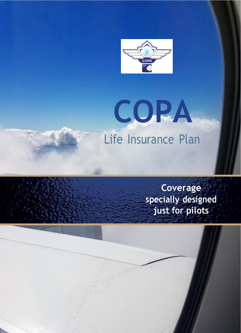

# **COPA** Life Insurance Plan

**Coverage specially designed just for pilots**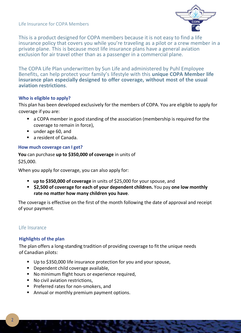Life Insurance for COPA Members



This is a product designed for COPA members because it is not easy to find a life insurance policy that covers you while you're traveling as a pilot or a crew member in a private plane. This is because most life insurance plans have a general aviation exclusion for air travel other than as a passenger in a commercial plane.

The COPA Life Plan underwritten by Sun Life and administered by Puhl Employee Benefits, can help protect your family's lifestyle with this **unique COPA Member life insurance plan especially designed to offer coverage, without most of the usual aviation restrictions**.

## **Who is eligible to apply?**

This plan has been developed exclusively for the members of COPA. You are eligible to apply for coverage if you are:

- a COPA member in good standing of the association (membership is required for the coverage to remain in force),
- under age 60, and
- a resident of Canada.

## **How much coverage can I get?**

**You** can purchase **up to \$350,000 of coverage** in units of \$25,000.

When you apply for coverage, you can also apply for:

- **up to \$350,000 of coverage** in units of \$25,000 for yourspouse, and
- **\$2,500 of coverage for each of your dependent children.** You pay **one low monthly rate no matter how many children you have**.

The coverage is effective on the first of the month following the date of approval and receipt of your payment.

## Life Insurance

## **Highlights of the plan**

The plan offers a long-standing tradition of providing coverage to fit the unique needs of Canadian pilots:

- Up to \$350,000 life insurance protection for you and your spouse,
- Dependent child coverage available,
- No minimum flight hours or experience required,
- No civil aviation restrictions,
- Preferred rates for non-smokers, and
- Annual or monthly premium payment options.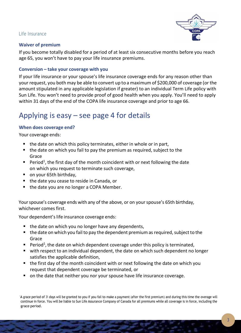## Life Insurance



## **Waiver of premium**

If you become totally disabled for a period of at least six consecutive months before you reach age 65, you won't have to pay your life insurance premiums.

## **Conversion – take your coverage with you**

If your life insurance or your spouse's life insurance coverage ends for any reason other than your request, you both may be able to convert up to a maximum of \$200,000 of coverage (orthe amount stipulated in any applicable legislation if greater) to an individual Term Life policy with Sun Life. You won't need to provide proof of good health when you apply. You'll need to apply within 31 days of the end of the COPA life insurance coverage and prior to age 66.

# Applying is easy – see page 4 for details

## **When does coverage end?**

Your coverage ends:

- the date on which this policy terminates, either in whole or in part,
- the date on which you fail to pay the premium as required, subject to the Grace
- $\blacksquare$  Period<sup>1</sup>, the first day of the month coincident with or next following the date on which you request to terminate such coverage,
- on your 65th birthday,
- the date you cease to reside in Canada, or
- the date you are no longer a COPA Member.

Your spouse's coverage ends with any of the above, or on your spouse's 65th birthday, whichever comes first.

Your dependent's life insurance coverage ends:

- the date on which you no longer have any dependents,
- $\blacksquare$  the date on which you fail to pay the dependent premium as required, subject to the Grace
- $\blacksquare$  Period<sup>1</sup>, the date on which dependent coverage under this policy is terminated,
- with respect to an individual dependent, the date on which such dependent no longer satisfies the applicable definition,
- the first day of the month coincident with or next following the date on which you request that dependent coverage be terminated, or
- on the date that neither you nor your spouse have life insurance coverage.

<sup>1</sup>A grace period of <sup>31</sup> days will be granted to you if you fail to make a payment (after the first premium) and during this time the overage will continue in force. You will be liable to Sun Life Assurance Company of Canada for all premiums while all coverage is in force, including the grace period.